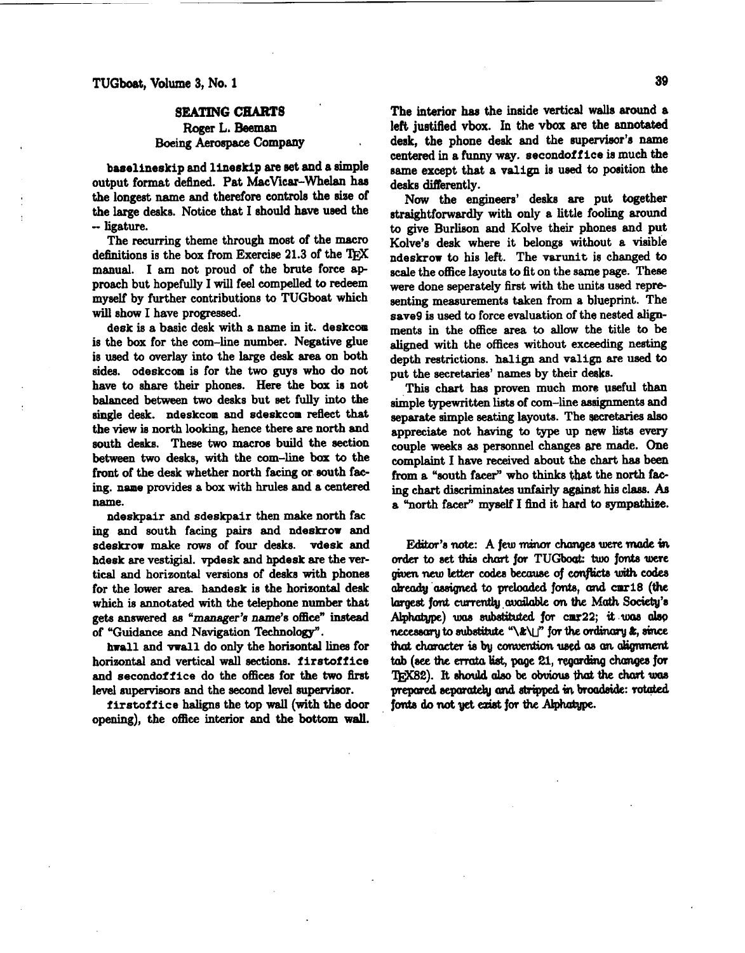## **SEATING CHARTS**  Roger **L. Beeman**

## Boeing Aerospace Company

baselineskip and lineskip are set and a simple output format defined. Pat MacVicar-Whelan has the longest name and therefore controls the size of the large desks. Notice that I should have used the -- ligature.

The recurring theme through most of the macro definitions is the box from Exercise 21.3 of the manual. I am not proud of the brute force ap proach but hopefully I will feel compelled to redeem myaelf by further contributions to TUGboat which will show I have progressed.

desk is a basic desk with a name in it. deskcom is the box for the com-line number. Negative glue is uaed to overlay into the large desk area on both sides. odeskcom is for the two guys who do not have to **share** their phones. Here the box is not balanced between two desks but set fully **into** the single desk. ndeskcom and sdeskcom reflect that the view is north looking, hence there are north and south desks. These two macros build the section **between** two desks, with the com-line box to the front of the desk whether north facing or south facing. naae provides a box with hrules and a centered name.

ndeskpair and sdeskpair then make north fae ing and south facing pairs and ndeskrow and sdeskrow **make** rows of four desks. vdesk and hdesk are vestigial. vpdesk and hpdesk **are** the vertical and horizontal versions of desks with phones for the lower area. handesk is the horizontal desk **which** is annotated with the telephone number that **gets** answered **as "manager'8** name's officen **instead**  of "Guidance and Navigation Technology".

hwall and **vwall** do only the horizontal lines for horizontal and vertical wall sections. firstoffice and secondoffice do the offices for the **two** first level supervisors and the second level supervisor.

firstoffice haligns the top wall (with the door opening), the office interior and the **bottom** wall. left justified vbox. In the vbox are the annotated desk, the phone **desk** and the supervisor's name centered in a funny way. secondoffice is much the same except that a valign is **used** to position the desks differently.

**Now** the **engineers'** desks are put together straightforwardly with only a little fooling around to give Burlison and Kolve their phones and put Kolve's desk where it belongs without a visible ndeskrow to his left,. The varunit **ie** changed to scale the office layouts to fit on the same page. These were done seperately first with the units used representing measurements taken from a blueprint. The save9 is used to force evaluation of the nested **align**ments in the ofice area to **allow** the title to be **aligned** with the offices without exceeding nesting depth restrictions. **halign** and valign are used to put the secretaries' names by their deeks.

This chart **has** proven much more useful than simple typewritten lists of com-line assignments and separate simple seating layouts. The **eecretariea also**  appreciate not having to type up **new** lists every couple weeks as personnel changes **we** made. One complaint I have **received** about the chart **has** been from a "south facer" who thinks that the north facing chart discriminates unfairly against his class. As a "north facer" myself I find it hard to sympathize.

Editor's ride: A few **minor** changes **were made in otdet** to set **this chmt** for TUGboat: two fonts **were**  given new letter codes because of conflicts with codes **ab.+ 'adgnd to** prelooded **f&, and cm18 (the largest font currently available on the Math Society's** Alphatype) was substituted for cmr22; it was also necessary to substitute " $\&\U1$ " for the ordinary  $x$ , since that character is by convention used as an alignment tab (see the errata list, page 21, regarding changes for **TrX82).** It should also be obvious that the chart was prepared, separately and stripped in broadside: rotated. fonts do not yet exist for the Alphatype.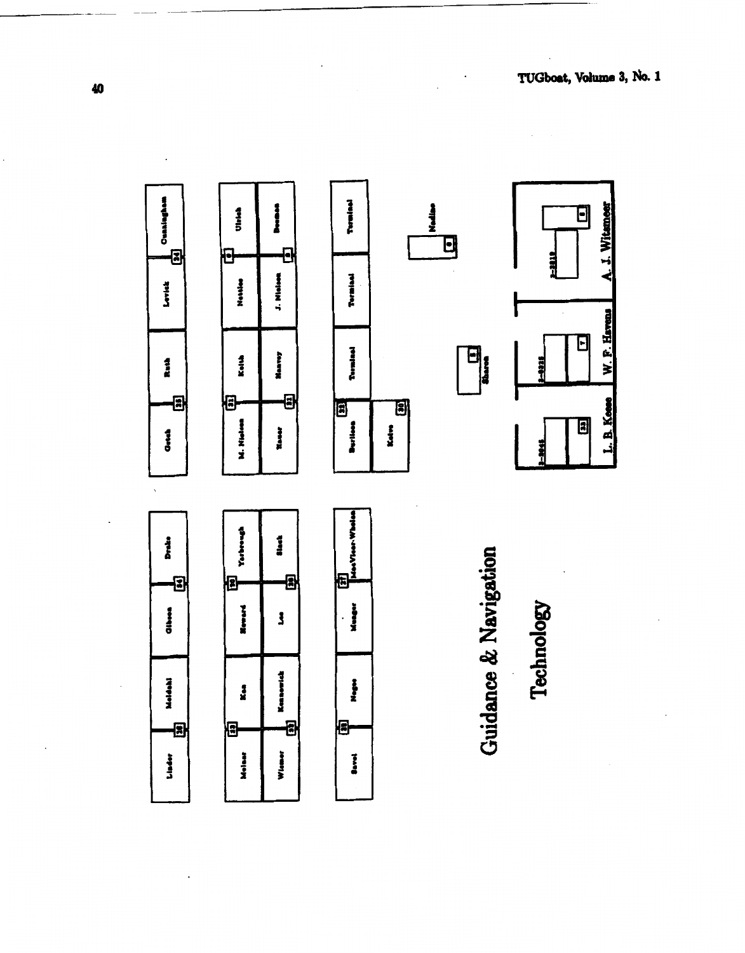

40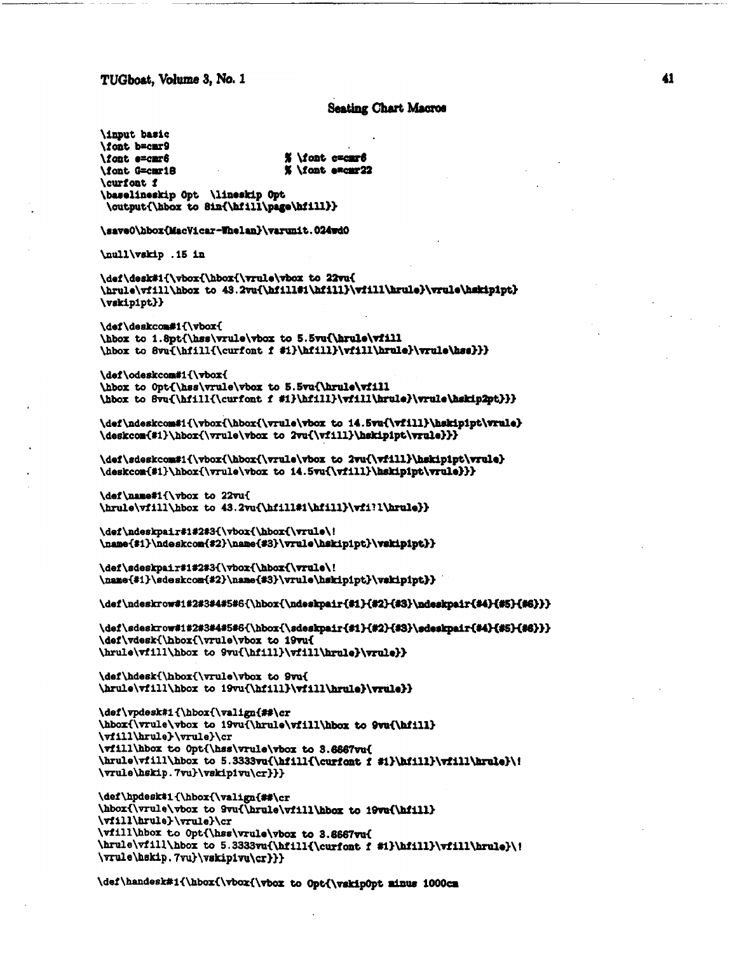TUGboat, Volume 3, No. 1

## **Seating Chart Macros**

**\input** basic \font b=cmr9 % \font c=car6 \font e=cmr6 % \font excur22 \font G=cmr18 \curfont f \baselineskip Opt \lineskip Opt \output{\hbox to 8in{\hfill\page\hfill}}

\save0\hbox{MacVicar-Whelan}\varunit.024wd0

\null\vskip .15 in

\def\desk#i{\vbox{\hbox{\vrule\vbox to 22vu{ \hrule\vfill\hbox to 43.2vu{\hfill#1\hfill}\vfill\hrule}\vrule\hskipipt}  $\text{vskip1pt}\$ 

\def\deskcom#1{\vbox{ \hbox to 1.8pt{\hss\vrule\vbox to 5.5vu{\hrule\vfill \hbox to 8vu{\hfill{\curfont f #i}\hfill}\vfill\hrule}\vrule\hss}}}

\def\odeskcom#1{\vbox{ \hbox to Opt{\hss\vrule\vbox to 5.5vu{\hrule\vfill \hbox to 8vu{\hfill{\curfont f #i}\hfill}\vfill\hrule}\vrule\hskip2pt}}}

\def\ndeskcom#1{\vbox{\hbox{\vrule\vbox to 14.5vu{\vfill}\hskipipt\vrule} \deskcom{#1}\hbox{\vrule\vbox to 2vu{\vfill}\hskipipt\vrule}}}

\def\sdeskcom#1{\vbox{\hbox{\vrule\vbox to 2vu{\vfill}\hskipipt\vrule} \deskcom{#1}\hbox{\vrule\vbox to 14.5vu{\vfill}\hskipipt\vrule}}}

\def\name#i{\vbox to 22vu{ \hrule\vfill\hbox to 43.2vu{\hfill#1\hfill}\vfi?l\hrule}}

\def\ndeskpair#1#2#3{\vbox{\hbox{\vrule\! \name{#1}\ndeskcom{#2}\name{#3}\vrule\hskip1pt}\vskip1pt}}

\def\sdeskpair#1#2#3{\vbox{\hbox{\vrule\! \name{#1}\sdeskcom{#2}\name{#3}\vrule\hskipipt}\vskipipt}}

\def\ndeskrow#1#2#3#4#5#6{\hbox{\ndeskpair{#1}{#2}{#3}\ndeskpair{#4}{#5}{#6}}}

\def\sdeskrow#1#2#3#4#5#6{\hbox{\sdeskpair{#1}{#2}{#3}\sdeskpair{#4}{#5}{#6}}} \def\vdesk{\hbox{\vrule\vbox to 19vu{ \hrule\vfill\hbox to 9vu{\hfill}\vfill\hrule}\vrule}}

\def\hdesk{\hbox{\vrule\vbox to 9vu{ \hrule\vfill\hbox to 19vu{\hfill}\vfill\hrule}\vrule}}

```
\def\vpdesk#1{\hbox{\valign{##\cr
\hbox{\vrule\vbox to 19vu{\hrule\vfill\hbox to 9vu{\hfill}
\vfill\hrule}\vrule}\cr
\vfill\hbox to Opt{\hss\vrule\vbox to 3.6667vu{
\hrule\vfill\hbox to 5.3333vu{\hfill{\curfont f #1}\hfill}\vfill\hrule}\i
\vrule\hskip.7vu}\vskipivu\cr}}}
```

```
\def\hpdesk#1{\hbox{\valign{##\cr
\hbox{\vrule\vbox to 9vu{\hrule\vfill\hbox to 19vu{\hfill}
\vfill\hrule}\vrule}\cr
\vfill\hbox to Opt{\hss\vrule\vbox to 3.6667vu{
\hrule\vfill\hbox to 5.3333vu{\hfill{\curfont f #1}\hfill}\vfill\hrule}\!
\vrule\hskip.7vu}\vskip1vu\cr}}}
```
\def\handesk#1{\hbox{\vbox{\vbox to Opt{\vskipOpt minus 1000cm

41